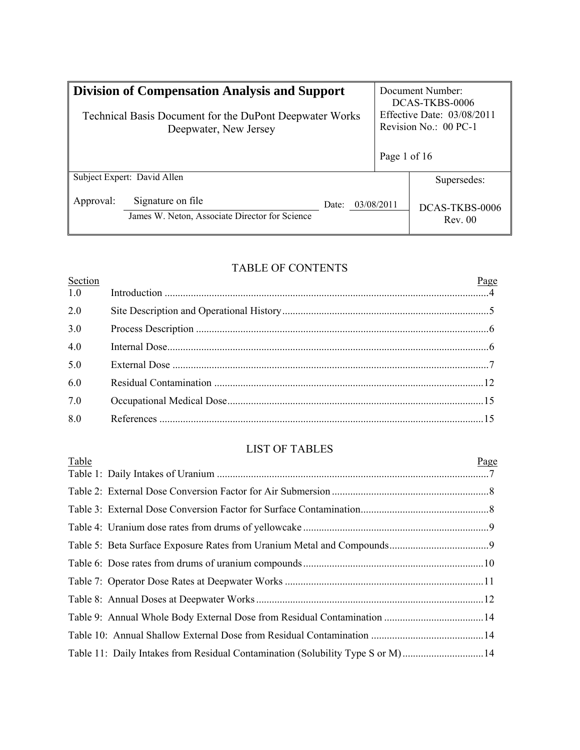| <b>Division of Compensation Analysis and Support</b>                                    |                                                                     |       |                       | Document Number:<br>DCAS-TKBS-0006<br>Effective Date: $03/08/2011$ |  |
|-----------------------------------------------------------------------------------------|---------------------------------------------------------------------|-------|-----------------------|--------------------------------------------------------------------|--|
| <b>Technical Basis Document for the DuPont Deepwater Works</b><br>Deepwater, New Jersey |                                                                     |       | Revision No.: 00 PC-1 |                                                                    |  |
|                                                                                         |                                                                     |       | Page 1 of 16          |                                                                    |  |
|                                                                                         | Subject Expert: David Allen                                         |       |                       | Supersedes:                                                        |  |
| Approval:                                                                               | Signature on file<br>James W. Neton, Associate Director for Science | Date: | 03/08/2011            | DCAS-TKBS-0006<br>Rev. 00                                          |  |

# TABLE OF CONTENTS

| Section | Page |
|---------|------|
| 1.0     |      |
| 2.0     |      |
| 3.0     |      |
| 4.0     |      |
| 5.0     |      |
| 6.0     |      |
| 7.0     |      |
| 8.0     |      |
|         |      |

# LIST OF TABLES

| Table                                                                          | Page |
|--------------------------------------------------------------------------------|------|
|                                                                                |      |
|                                                                                |      |
|                                                                                |      |
|                                                                                |      |
|                                                                                |      |
|                                                                                |      |
|                                                                                |      |
|                                                                                |      |
|                                                                                |      |
|                                                                                |      |
| Table 11: Daily Intakes from Residual Contamination (Solubility Type S or M)14 |      |
|                                                                                |      |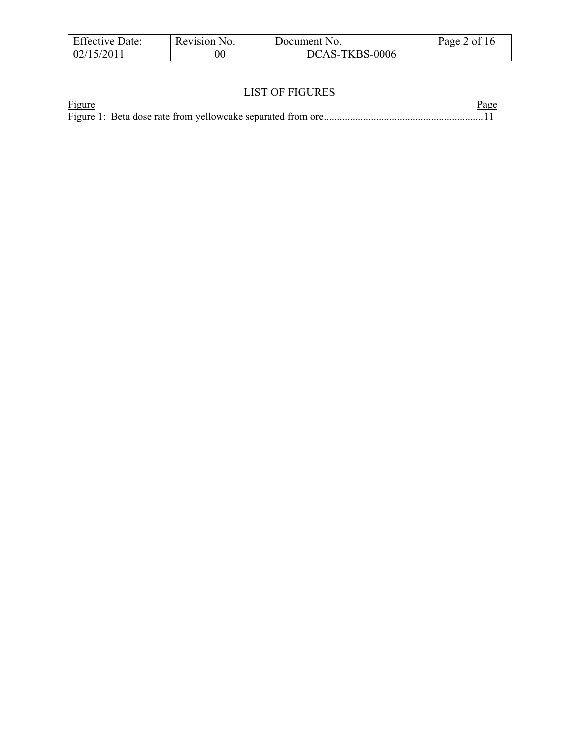| <b>Effective Date:</b> | Revision No. | Document No.   | Page 2 of 16 |
|------------------------|--------------|----------------|--------------|
| 02/15/2011             | $00\,$       | DCAS-TKBS-0006 |              |

# LIST OF FIGURES

| <b>Figure</b> |  |  | <u>Page</u> |  |
|---------------|--|--|-------------|--|
|               |  |  |             |  |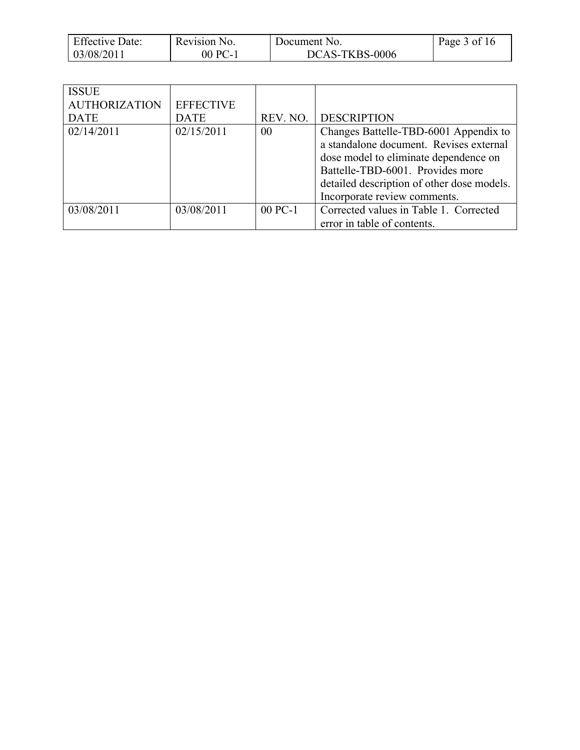| <b>Effective Date:</b> | Revision No. | Document No.   | Page 3 of 16 |
|------------------------|--------------|----------------|--------------|
| 03/08/2011             | 00 PC-1      | DCAS-TKBS-0006 |              |

| <b>ISSUE</b><br><b>AUTHORIZATION</b><br><b>DATE</b> | <b>EFFECTIVE</b><br><b>DATE</b> | REV. NO. | <b>DESCRIPTION</b>                                                                                                                                                                                                                          |
|-----------------------------------------------------|---------------------------------|----------|---------------------------------------------------------------------------------------------------------------------------------------------------------------------------------------------------------------------------------------------|
| 02/14/2011                                          | 02/15/2011                      | 00       | Changes Battelle-TBD-6001 Appendix to<br>a standalone document. Revises external<br>dose model to eliminate dependence on<br>Battelle-TBD-6001. Provides more<br>detailed description of other dose models.<br>Incorporate review comments. |
| 03/08/2011                                          | 03/08/2011                      | 00 PC-1  | Corrected values in Table 1. Corrected<br>error in table of contents.                                                                                                                                                                       |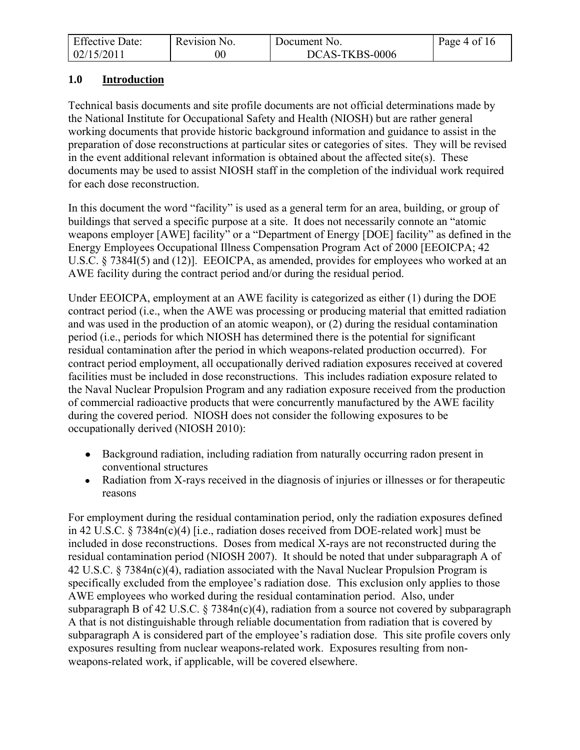| <b>Effective Date:</b> | Revision No. | Document No.   | Page 4 of $16$ |
|------------------------|--------------|----------------|----------------|
| 02/15/2011             | $00\,$       | DCAS-TKBS-0006 |                |

## <span id="page-3-0"></span>**1.0 Introduction**

Technical basis documents and site profile documents are not official determinations made by the National Institute for Occupational Safety and Health (NIOSH) but are rather general working documents that provide historic background information and guidance to assist in the preparation of dose reconstructions at particular sites or categories of sites. They will be revised in the event additional relevant information is obtained about the affected site(s). These documents may be used to assist NIOSH staff in the completion of the individual work required for each dose reconstruction.

In this document the word "facility" is used as a general term for an area, building, or group of buildings that served a specific purpose at a site. It does not necessarily connote an "atomic weapons employer [AWE] facility" or a "Department of Energy [DOE] facility" as defined in the Energy Employees Occupational Illness Compensation Program Act of 2000 [EEOICPA; 42 U.S.C. § 7384I(5) and (12)]. EEOICPA, as amended, provides for employees who worked at an AWE facility during the contract period and/or during the residual period.

Under EEOICPA, employment at an AWE facility is categorized as either (1) during the DOE contract period (i.e., when the AWE was processing or producing material that emitted radiation and was used in the production of an atomic weapon), or (2) during the residual contamination period (i.e., periods for which NIOSH has determined there is the potential for significant residual contamination after the period in which weapons-related production occurred). For contract period employment, all occupationally derived radiation exposures received at covered facilities must be included in dose reconstructions. This includes radiation exposure related to the Naval Nuclear Propulsion Program and any radiation exposure received from the production of commercial radioactive products that were concurrently manufactured by the AWE facility during the covered period. NIOSH does not consider the following exposures to be occupationally derived (NIOSH 2010):

- Background radiation, including radiation from naturally occurring radon present in conventional structures
- Radiation from X-rays received in the diagnosis of injuries or illnesses or for therapeutic reasons

For employment during the residual contamination period, only the radiation exposures defined in 42 U.S.C. § 7384n(c)(4) [i.e., radiation doses received from DOE-related work] must be included in dose reconstructions. Doses from medical X-rays are not reconstructed during the residual contamination period (NIOSH 2007). It should be noted that under subparagraph A of 42 U.S.C. § 7384n(c)(4), radiation associated with the Naval Nuclear Propulsion Program is specifically excluded from the employee's radiation dose. This exclusion only applies to those AWE employees who worked during the residual contamination period. Also, under subparagraph B of 42 U.S.C. § 7384n(c)(4), radiation from a source not covered by subparagraph A that is not distinguishable through reliable documentation from radiation that is covered by subparagraph A is considered part of the employee's radiation dose. This site profile covers only exposures resulting from nuclear weapons-related work. Exposures resulting from nonweapons-related work, if applicable, will be covered elsewhere.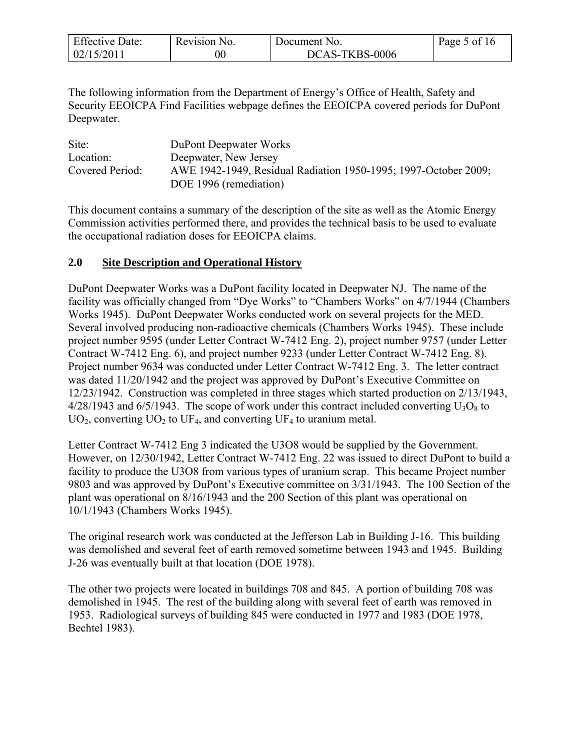| <b>Effective Date:</b> | Revision No. | Document No.   | Page 5 of 16 |
|------------------------|--------------|----------------|--------------|
| 02/15/2011             | 00           | DCAS-TKBS-0006 |              |

The following information from the Department of Energy's Office of Health, Safety and Security EEOICPA Find Facilities webpage defines the EEOICPA covered periods for DuPont Deepwater.

| Site:           | <b>DuPont Deepwater Works</b>                                   |
|-----------------|-----------------------------------------------------------------|
| Location:       | Deepwater, New Jersey                                           |
| Covered Period: | AWE 1942-1949, Residual Radiation 1950-1995; 1997-October 2009; |
|                 | DOE 1996 (remediation)                                          |

This document contains a summary of the description of the site as well as the Atomic Energy Commission activities performed there, and provides the technical basis to be used to evaluate the occupational radiation doses for EEOICPA claims.

## <span id="page-4-0"></span>**2.0 Site Description and Operational History**

DuPont Deepwater Works was a DuPont facility located in Deepwater NJ. The name of the facility was officially changed from "Dye Works" to "Chambers Works" on 4/7/1944 (Chambers Works 1945). DuPont Deepwater Works conducted work on several projects for the MED. Several involved producing non-radioactive chemicals (Chambers Works 1945). These include project number 9595 (under Letter Contract W-7412 Eng. 2), project number 9757 (under Letter Contract W-7412 Eng. 6), and project number 9233 (under Letter Contract W-7412 Eng. 8). Project number 9634 was conducted under Letter Contract W-7412 Eng. 3. The letter contract was dated 11/20/1942 and the project was approved by DuPont's Executive Committee on 12/23/1942. Construction was completed in three stages which started production on 2/13/1943,  $4/28/1943$  and  $6/5/1943$ . The scope of work under this contract included converting  $U_3O_8$  to  $UO<sub>2</sub>$ , converting  $UO<sub>2</sub>$  to  $UF<sub>4</sub>$ , and converting  $UF<sub>4</sub>$  to uranium metal.

Letter Contract W-7412 Eng 3 indicated the U3O8 would be supplied by the Government. However, on 12/30/1942, Letter Contract W-7412 Eng. 22 was issued to direct DuPont to build a facility to produce the U3O8 from various types of uranium scrap. This became Project number 9803 and was approved by DuPont's Executive committee on 3/31/1943. The 100 Section of the plant was operational on 8/16/1943 and the 200 Section of this plant was operational on 10/1/1943 (Chambers Works 1945).

The original research work was conducted at the Jefferson Lab in Building J-16. This building was demolished and several feet of earth removed sometime between 1943 and 1945. Building J-26 was eventually built at that location (DOE 1978).

The other two projects were located in buildings 708 and 845. A portion of building 708 was demolished in 1945. The rest of the building along with several feet of earth was removed in 1953. Radiological surveys of building 845 were conducted in 1977 and 1983 (DOE 1978, Bechtel 1983).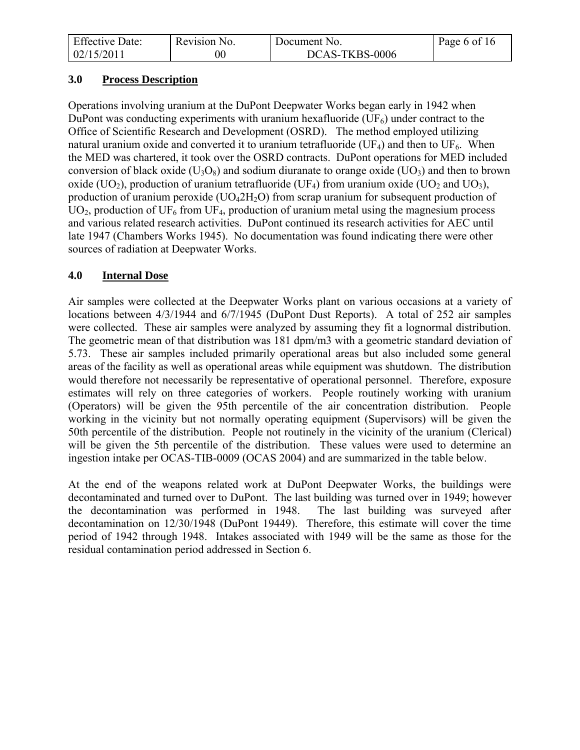| <b>Effective Date:</b> | Revision No. | Document No.   | Page 6 of 16 |
|------------------------|--------------|----------------|--------------|
| 02/15/2011             | 00           | DCAS-TKBS-0006 |              |

#### <span id="page-5-0"></span>**3.0 Process Description**

Operations involving uranium at the DuPont Deepwater Works began early in 1942 when DuPont was conducting experiments with uranium hexafluoride  $(UF_6)$  under contract to the Office of Scientific Research and Development (OSRD). The method employed utilizing natural uranium oxide and converted it to uranium tetrafluoride (UF<sub>4</sub>) and then to UF<sub>6</sub>. When the MED was chartered, it took over the OSRD contracts. DuPont operations for MED included conversion of black oxide ( $U_3O_8$ ) and sodium diuranate to orange oxide ( $UO_3$ ) and then to brown oxide (UO<sub>2</sub>), production of uranium tetrafluoride (UF<sub>4</sub>) from uranium oxide (UO<sub>2</sub> and UO<sub>3</sub>), production of uranium peroxide ( $UO_42H_2O$ ) from scrap uranium for subsequent production of  $UO<sub>2</sub>$ , production of UF<sub>6</sub> from UF<sub>4</sub>, production of uranium metal using the magnesium process and various related research activities. DuPont continued its research activities for AEC until late 1947 (Chambers Works 1945). No documentation was found indicating there were other sources of radiation at Deepwater Works.

## <span id="page-5-1"></span>**4.0 Internal Dose**

Air samples were collected at the Deepwater Works plant on various occasions at a variety of locations between 4/3/1944 and 6/7/1945 (DuPont Dust Reports). A total of 252 air samples were collected. These air samples were analyzed by assuming they fit a lognormal distribution. The geometric mean of that distribution was 181 dpm/m3 with a geometric standard deviation of 5.73. These air samples included primarily operational areas but also included some general areas of the facility as well as operational areas while equipment was shutdown. The distribution would therefore not necessarily be representative of operational personnel. Therefore, exposure estimates will rely on three categories of workers. People routinely working with uranium (Operators) will be given the 95th percentile of the air concentration distribution. People working in the vicinity but not normally operating equipment (Supervisors) will be given the 50th percentile of the distribution. People not routinely in the vicinity of the uranium (Clerical) will be given the 5th percentile of the distribution. These values were used to determine an ingestion intake per OCAS-TIB-0009 (OCAS 2004) and are summarized in the table below.

At the end of the weapons related work at DuPont Deepwater Works, the buildings were decontaminated and turned over to DuPont. The last building was turned over in 1949; however the decontamination was performed in 1948. The last building was surveyed after decontamination on 12/30/1948 (DuPont 19449). Therefore, this estimate will cover the time period of 1942 through 1948. Intakes associated with 1949 will be the same as those for the residual contamination period addressed in Section 6.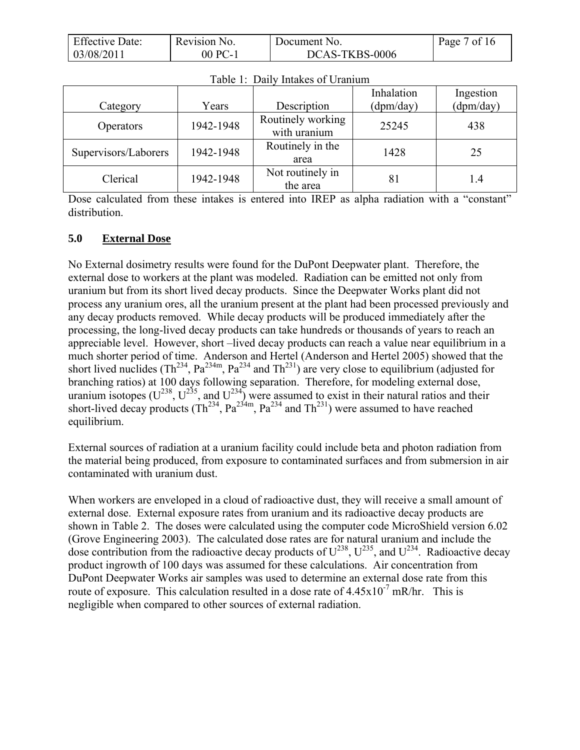| <b>Effective Date:</b> | Revision No. | Document No.   | Page 7 of 16 |
|------------------------|--------------|----------------|--------------|
| 03/08/2011             | 00 PC-1      | DCAS-TKBS-0006 |              |

|                      |           |                                   | Inhalation | Ingestion |
|----------------------|-----------|-----------------------------------|------------|-----------|
| Category             | Years     | Description                       | (dpm/day)  | (dpm/day) |
| <b>Operators</b>     | 1942-1948 | Routinely working<br>with uranium | 25245      | 438       |
| Supervisors/Laborers | 1942-1948 | Routinely in the<br>area          | 1428       | 25        |
| Clerical             | 1942-1948 | Not routinely in<br>the area      | 81         | 1.4       |

Dose calculated from these intakes is entered into IREP as alpha radiation with a "constant" distribution.

#### <span id="page-6-0"></span>**5.0 External Dose**

No External dosimetry results were found for the DuPont Deepwater plant. Therefore, the external dose to workers at the plant was modeled. Radiation can be emitted not only from uranium but from its short lived decay products. Since the Deepwater Works plant did not process any uranium ores, all the uranium present at the plant had been processed previously and any decay products removed. While decay products will be produced immediately after the processing, the long-lived decay products can take hundreds or thousands of years to reach an appreciable level. However, short –lived decay products can reach a value near equilibrium in a much shorter period of time. Anderson and Hertel (Anderson and Hertel 2005) showed that the short lived nuclides (Th<sup>234</sup>, Pa<sup>234m</sup>, Pa<sup>234</sup> and Th<sup>231</sup>) are very close to equilibrium (adjusted for branching ratios) at 100 days following separation. Therefore, for modeling external dose, uranium isotopes ( $U^{238}$ ,  $U^{235}$ , and  $U^{234}$ ) were assumed to exist in their natural ratios and their short-lived decay products ( $Th^{234}$ ,  $Pa^{234m}$ ,  $Pa^{234}$  and  $Th^{231}$ ) were assumed to have reached equilibrium.

External sources of radiation at a uranium facility could include beta and photon radiation from the material being produced, from exposure to contaminated surfaces and from submersion in air contaminated with uranium dust.

When workers are enveloped in a cloud of radioactive dust, they will receive a small amount of external dose. External exposure rates from uranium and its radioactive decay products are shown in Table 2. The doses were calculated using the computer code MicroShield version 6.02 (Grove Engineering 2003). The calculated dose rates are for natural uranium and include the dose contribution from the radioactive decay products of  $U^{238}$ ,  $U^{235}$ , and  $U^{234}$ . Radioactive decay product ingrowth of 100 days was assumed for these calculations. Air concentration from DuPont Deepwater Works air samples was used to determine an external dose rate from this route of exposure. This calculation resulted in a dose rate of  $4.45 \times 10^{-7}$  mR/hr. This is negligible when compared to other sources of external radiation.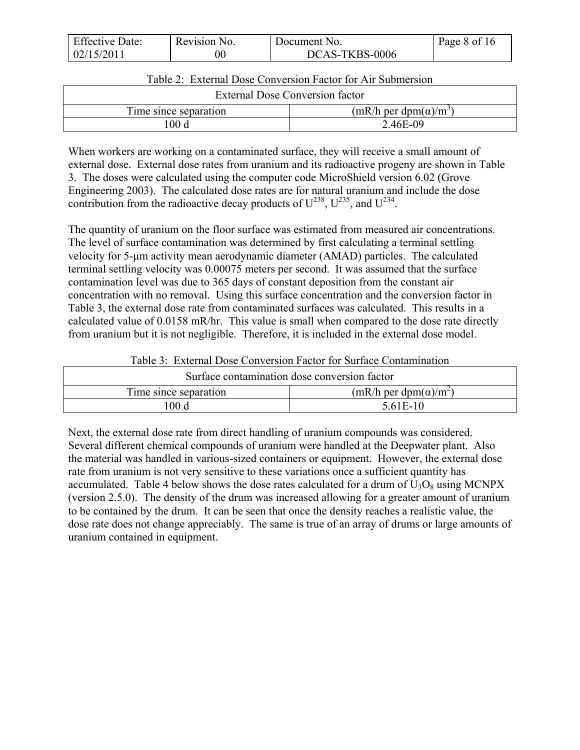| <b>Effective Date:</b> | Revision No. | Document No.   | Page 8 of 16 |
|------------------------|--------------|----------------|--------------|
| 02/15/2011             |              | DCAS-TKBS-0006 |              |

| Table 2: External Dose Conversion Factor for Air Submersion |  |
|-------------------------------------------------------------|--|
|-------------------------------------------------------------|--|

| External Dose Conversion factor                                |          |  |  |
|----------------------------------------------------------------|----------|--|--|
| $(mR/h \text{ per } dpm(\alpha)/m^3)$<br>Time since separation |          |  |  |
| 100 d                                                          | 2.46E-09 |  |  |

When workers are working on a contaminated surface, they will receive a small amount of external dose. External dose rates from uranium and its radioactive progeny are shown in Table 3. The doses were calculated using the computer code MicroShield version 6.02 (Grove Engineering 2003). The calculated dose rates are for natural uranium and include the dose contribution from the radioactive decay products of  $U^{238}$ ,  $U^{235}$ , and  $U^{234}$ .

The quantity of uranium on the floor surface was estimated from measured air concentrations. The level of surface contamination was determined by first calculating a terminal settling velocity for 5-μm activity mean aerodynamic diameter (AMAD) particles. The calculated terminal settling velocity was 0.00075 meters per second. It was assumed that the surface contamination level was due to 365 days of constant deposition from the constant air concentration with no removal. Using this surface concentration and the conversion factor in Table 3, the external dose rate from contaminated surfaces was calculated. This results in a calculated value of 0.0158 mR/hr. This value is small when compared to the dose rate directly from uranium but it is not negligible. Therefore, it is included in the external dose model.

| Surface contamination dose conversion factor                   |  |  |  |  |
|----------------------------------------------------------------|--|--|--|--|
| $(mR/h \text{ per } dpm(\alpha)/m^2)$<br>Time since separation |  |  |  |  |
| 00d<br>5.61E-10                                                |  |  |  |  |

Table 3: External Dose Conversion Factor for Surface Contamination

Next, the external dose rate from direct handling of uranium compounds was considered. Several different chemical compounds of uranium were handled at the Deepwater plant. Also the material was handled in various-sized containers or equipment. However, the external dose rate from uranium is not very sensitive to these variations once a sufficient quantity has accumulated. Table 4 below shows the dose rates calculated for a drum of  $U_3O_8$  using MCNPX (version 2.5.0). The density of the drum was increased allowing for a greater amount of uranium to be contained by the drum. It can be seen that once the density reaches a realistic value, the dose rate does not change appreciably. The same is true of an array of drums or large amounts of uranium contained in equipment.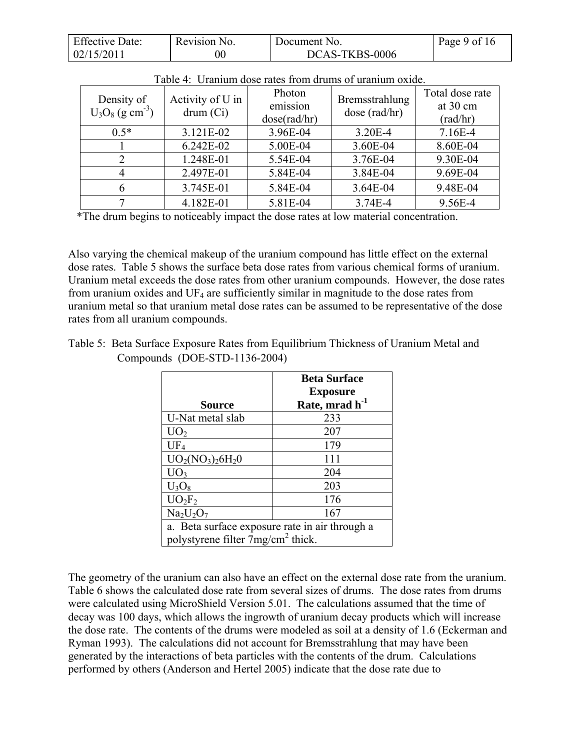| <b>Effective Date:</b> | Revision No. | Document No.   | Page 9 of 16 |
|------------------------|--------------|----------------|--------------|
| 02/15/2011             |              | DCAS-TKBS-0006 |              |

| Density of<br>$U_3O_8$ (g cm <sup>-3</sup> ) | Activity of U in<br>drum (Ci) | Photon<br>emission<br>dose(rad/hr) | Bremsstrahlung<br>dose (rad/hr) | Total dose rate<br>at 30 cm<br>(rad/hr) |
|----------------------------------------------|-------------------------------|------------------------------------|---------------------------------|-----------------------------------------|
| $0.5*$                                       | 3.121E-02                     | 3.96E-04                           | $3.20E - 4$                     | $7.16E-4$                               |
|                                              | 6.242E-02                     | 5.00E-04                           | 3.60E-04                        | 8.60E-04                                |
|                                              | 1.248E-01                     | 5.54E-04                           | 3.76E-04                        | 9.30E-04                                |
|                                              | 2.497E-01                     | 5.84E-04                           | 3.84E-04                        | 9.69E-04                                |
|                                              | 3.745E-01                     | 5.84E-04                           | 3.64E-04                        | 9.48E-04                                |
|                                              | 4.182E-01                     | 5.81E-04                           | 3.74E-4                         | 9.56E-4                                 |

|  | Table 4: Uranium dose rates from drums of uranium oxide. |  |  |  |
|--|----------------------------------------------------------|--|--|--|
|  |                                                          |  |  |  |

\*The drum begins to noticeably impact the dose rates at low material concentration.

Also varying the chemical makeup of the uranium compound has little effect on the external dose rates. Table 5 shows the surface beta dose rates from various chemical forms of uranium. Uranium metal exceeds the dose rates from other uranium compounds. However, the dose rates from uranium oxides and  $UF_4$  are sufficiently similar in magnitude to the dose rates from uranium metal so that uranium metal dose rates can be assumed to be representative of the dose rates from all uranium compounds.

Table 5: Beta Surface Exposure Rates from Equilibrium Thickness of Uranium Metal and Compounds (DOE-STD-1136-2004)

| <b>Beta Surface</b><br><b>Exposure</b>         |                            |  |  |
|------------------------------------------------|----------------------------|--|--|
| <b>Source</b>                                  | Rate, mrad h <sup>-1</sup> |  |  |
| U-Nat metal slab                               | 233                        |  |  |
| UO <sub>2</sub>                                | 207                        |  |  |
| $UF_4$                                         | 179                        |  |  |
| $UO2(NO3)26H20$                                | 111                        |  |  |
| UO <sub>3</sub>                                | 204                        |  |  |
| $U_3O_8$                                       | 203                        |  |  |
| $UO_2F_2$                                      | 176                        |  |  |
| $Na2U2O7$                                      | 167                        |  |  |
| a. Beta surface exposure rate in air through a |                            |  |  |
| polystyrene filter 7mg/cm <sup>2</sup> thick.  |                            |  |  |

The geometry of the uranium can also have an effect on the external dose rate from the uranium. Table 6 shows the calculated dose rate from several sizes of drums. The dose rates from drums were calculated using MicroShield Version 5.01. The calculations assumed that the time of decay was 100 days, which allows the ingrowth of uranium decay products which will increase the dose rate. The contents of the drums were modeled as soil at a density of 1.6 (Eckerman and Ryman 1993). The calculations did not account for Bremsstrahlung that may have been generated by the interactions of beta particles with the contents of the drum. Calculations performed by others (Anderson and Hertel 2005) indicate that the dose rate due to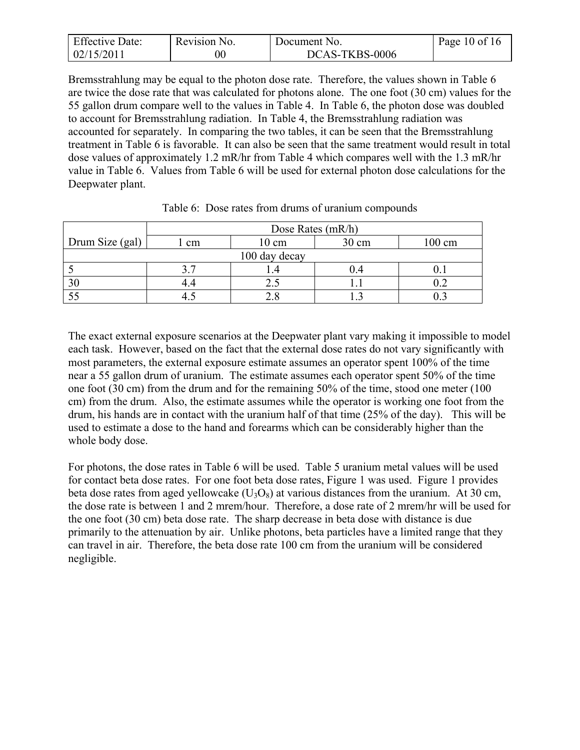| <b>Effective Date:</b> | Revision No. | Document No.   | Page 10 of 16 |
|------------------------|--------------|----------------|---------------|
| 02/15/2011             |              | DCAS-TKBS-0006 |               |

Bremsstrahlung may be equal to the photon dose rate. Therefore, the values shown in Table 6 are twice the dose rate that was calculated for photons alone. The one foot (30 cm) values for the 55 gallon drum compare well to the values in Table 4. In Table 6, the photon dose was doubled to account for Bremsstrahlung radiation. In Table 4, the Bremsstrahlung radiation was accounted for separately. In comparing the two tables, it can be seen that the Bremsstrahlung treatment in Table 6 is favorable. It can also be seen that the same treatment would result in total dose values of approximately 1.2 mR/hr from Table 4 which compares well with the 1.3 mR/hr value in Table 6. Values from Table 6 will be used for external photon dose calculations for the Deepwater plant.

|                 | Dose Rates $(mR/h)$ |                 |       |        |  |
|-----------------|---------------------|-----------------|-------|--------|--|
| Drum Size (gal) | l cm                | $10 \text{ cm}$ | 30 cm | 100 cm |  |
| 100 day decay   |                     |                 |       |        |  |
|                 |                     |                 |       |        |  |
|                 |                     |                 |       |        |  |
|                 |                     |                 |       |        |  |

Table 6: Dose rates from drums of uranium compounds

The exact external exposure scenarios at the Deepwater plant vary making it impossible to model each task. However, based on the fact that the external dose rates do not vary significantly with most parameters, the external exposure estimate assumes an operator spent 100% of the time near a 55 gallon drum of uranium. The estimate assumes each operator spent 50% of the time one foot (30 cm) from the drum and for the remaining 50% of the time, stood one meter (100 cm) from the drum. Also, the estimate assumes while the operator is working one foot from the drum, his hands are in contact with the uranium half of that time (25% of the day). This will be used to estimate a dose to the hand and forearms which can be considerably higher than the whole body dose.

For photons, the dose rates in Table 6 will be used. Table 5 uranium metal values will be used for contact beta dose rates. For one foot beta dose rates, Figure 1 was used. Figure 1 provides beta dose rates from aged yellowcake  $(U_3O_8)$  at various distances from the uranium. At 30 cm, the dose rate is between 1 and 2 mrem/hour. Therefore, a dose rate of 2 mrem/hr will be used for the one foot (30 cm) beta dose rate. The sharp decrease in beta dose with distance is due primarily to the attenuation by air. Unlike photons, beta particles have a limited range that they can travel in air. Therefore, the beta dose rate 100 cm from the uranium will be considered negligible.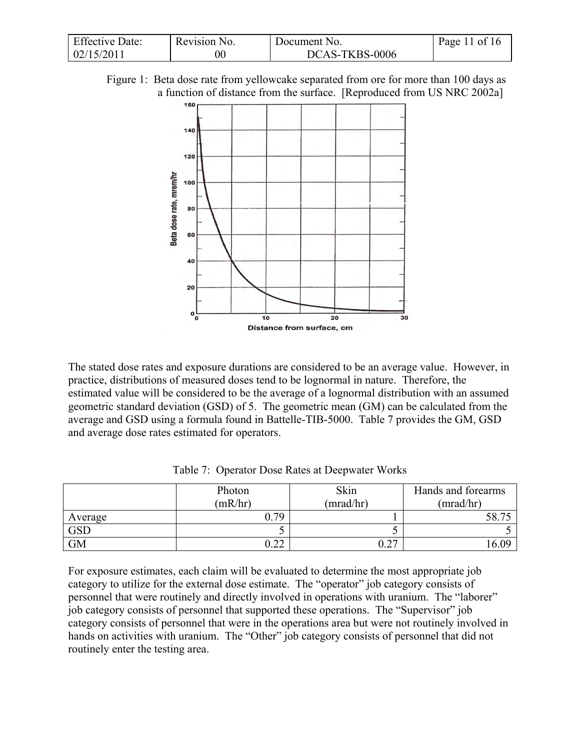| <b>Effective Date:</b> | Revision No. | Document No.   | Page 11 of 16 |
|------------------------|--------------|----------------|---------------|
| 02/15/2011             |              | DCAS-TKBS-0006 |               |

Figure 1: Beta dose rate from yellowcake separated from ore for more than 100 days as a function of distance from the surface. [Reproduced from US NRC 2002a]



The stated dose rates and exposure durations are considered to be an average value. However, in practice, distributions of measured doses tend to be lognormal in nature. Therefore, the estimated value will be considered to be the average of a lognormal distribution with an assumed geometric standard deviation (GSD) of 5. The geometric mean (GM) can be calculated from the average and GSD using a formula found in Battelle-TIB-5000. Table 7 provides the GM, GSD and average dose rates estimated for operators.

|            | Photon<br>(mR/hr) | Skin<br>(mrad/hr) | Hands and forearms<br>(mrad/hr) |
|------------|-------------------|-------------------|---------------------------------|
| Average    | 79                |                   | 58.7                            |
| <b>GSD</b> |                   |                   |                                 |
| <b>GM</b>  | ስ ጎጎ<br>← →       | $\Omega$          | 6 ሰዓ                            |

Table 7: Operator Dose Rates at Deepwater Works

For exposure estimates, each claim will be evaluated to determine the most appropriate job category to utilize for the external dose estimate. The "operator" job category consists of personnel that were routinely and directly involved in operations with uranium. The "laborer" job category consists of personnel that supported these operations. The "Supervisor" job category consists of personnel that were in the operations area but were not routinely involved in hands on activities with uranium. The "Other" job category consists of personnel that did not routinely enter the testing area.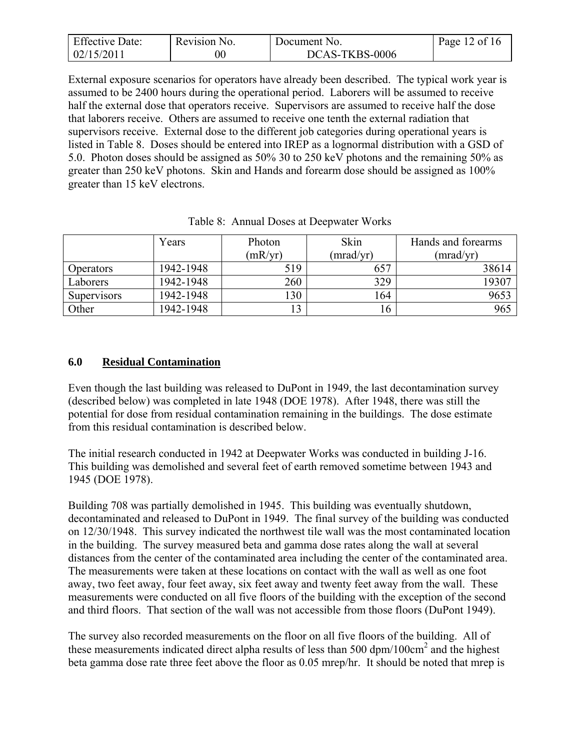| <b>Effective Date:</b> | Revision No. | Document No.   | Page 12 of 16 |
|------------------------|--------------|----------------|---------------|
| 02/15/2011             | $00\,$       | DCAS-TKBS-0006 |               |

External exposure scenarios for operators have already been described. The typical work year is assumed to be 2400 hours during the operational period. Laborers will be assumed to receive half the external dose that operators receive. Supervisors are assumed to receive half the dose that laborers receive. Others are assumed to receive one tenth the external radiation that supervisors receive. External dose to the different job categories during operational years is listed in Table 8. Doses should be entered into IREP as a lognormal distribution with a GSD of 5.0. Photon doses should be assigned as 50% 30 to 250 keV photons and the remaining 50% as greater than 250 keV photons. Skin and Hands and forearm dose should be assigned as 100% greater than 15 keV electrons.

|                    | Years     | Photon  | Skin      | Hands and forearms |
|--------------------|-----------|---------|-----------|--------------------|
|                    |           | (mR/yr) | (mrad/yr) | (mrad/yr)          |
| <b>Operators</b>   | 1942-1948 | 519     | 657       | 38614              |
| Laborers           | 1942-1948 | 260     | 329       | 19307              |
| <b>Supervisors</b> | 1942-1948 | 30      | 164       | 9653               |
| Other              | 1942-1948 | 13      | . O       | 965                |

Table 8: Annual Doses at Deepwater Works

## <span id="page-11-0"></span>**6.0 Residual Contamination**

Even though the last building was released to DuPont in 1949, the last decontamination survey (described below) was completed in late 1948 (DOE 1978). After 1948, there was still the potential for dose from residual contamination remaining in the buildings. The dose estimate from this residual contamination is described below.

The initial research conducted in 1942 at Deepwater Works was conducted in building J-16. This building was demolished and several feet of earth removed sometime between 1943 and 1945 (DOE 1978).

Building 708 was partially demolished in 1945. This building was eventually shutdown, decontaminated and released to DuPont in 1949. The final survey of the building was conducted on 12/30/1948. This survey indicated the northwest tile wall was the most contaminated location in the building. The survey measured beta and gamma dose rates along the wall at several distances from the center of the contaminated area including the center of the contaminated area. The measurements were taken at these locations on contact with the wall as well as one foot away, two feet away, four feet away, six feet away and twenty feet away from the wall. These measurements were conducted on all five floors of the building with the exception of the second and third floors. That section of the wall was not accessible from those floors (DuPont 1949).

The survey also recorded measurements on the floor on all five floors of the building. All of these measurements indicated direct alpha results of less than 500 dpm/100 $\text{cm}^2$  and the highest beta gamma dose rate three feet above the floor as 0.05 mrep/hr. It should be noted that mrep is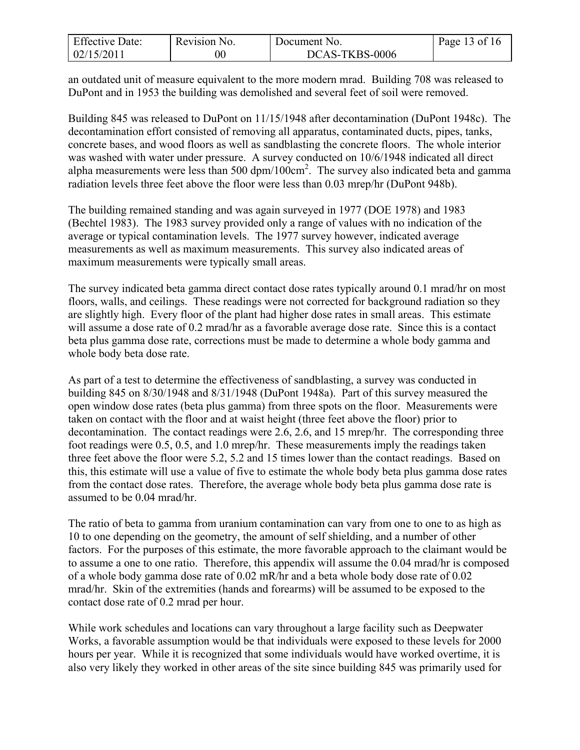| <b>Effective Date:</b> | Revision No. | Document No.   | Page 13 of 16 |
|------------------------|--------------|----------------|---------------|
| 02/15/2011             | $00\,$       | DCAS-TKBS-0006 |               |

an outdated unit of measure equivalent to the more modern mrad. Building 708 was released to DuPont and in 1953 the building was demolished and several feet of soil were removed.

Building 845 was released to DuPont on 11/15/1948 after decontamination (DuPont 1948c). The decontamination effort consisted of removing all apparatus, contaminated ducts, pipes, tanks, concrete bases, and wood floors as well as sandblasting the concrete floors. The whole interior was washed with water under pressure. A survey conducted on 10/6/1948 indicated all direct alpha measurements were less than  $500 \text{ dpm}/100 \text{cm}^2$ . The survey also indicated beta and gamma radiation levels three feet above the floor were less than 0.03 mrep/hr (DuPont 948b).

The building remained standing and was again surveyed in 1977 (DOE 1978) and 1983 (Bechtel 1983). The 1983 survey provided only a range of values with no indication of the average or typical contamination levels. The 1977 survey however, indicated average measurements as well as maximum measurements. This survey also indicated areas of maximum measurements were typically small areas.

The survey indicated beta gamma direct contact dose rates typically around 0.1 mrad/hr on most floors, walls, and ceilings. These readings were not corrected for background radiation so they are slightly high. Every floor of the plant had higher dose rates in small areas. This estimate will assume a dose rate of 0.2 mrad/hr as a favorable average dose rate. Since this is a contact beta plus gamma dose rate, corrections must be made to determine a whole body gamma and whole body beta dose rate.

As part of a test to determine the effectiveness of sandblasting, a survey was conducted in building 845 on 8/30/1948 and 8/31/1948 (DuPont 1948a). Part of this survey measured the open window dose rates (beta plus gamma) from three spots on the floor. Measurements were taken on contact with the floor and at waist height (three feet above the floor) prior to decontamination. The contact readings were 2.6, 2.6, and 15 mrep/hr. The corresponding three foot readings were 0.5, 0.5, and 1.0 mrep/hr. These measurements imply the readings taken three feet above the floor were 5.2, 5.2 and 15 times lower than the contact readings. Based on this, this estimate will use a value of five to estimate the whole body beta plus gamma dose rates from the contact dose rates. Therefore, the average whole body beta plus gamma dose rate is assumed to be 0.04 mrad/hr.

The ratio of beta to gamma from uranium contamination can vary from one to one to as high as 10 to one depending on the geometry, the amount of self shielding, and a number of other factors. For the purposes of this estimate, the more favorable approach to the claimant would be to assume a one to one ratio. Therefore, this appendix will assume the 0.04 mrad/hr is composed of a whole body gamma dose rate of 0.02 mR/hr and a beta whole body dose rate of 0.02 mrad/hr. Skin of the extremities (hands and forearms) will be assumed to be exposed to the contact dose rate of 0.2 mrad per hour.

While work schedules and locations can vary throughout a large facility such as Deepwater Works, a favorable assumption would be that individuals were exposed to these levels for 2000 hours per year. While it is recognized that some individuals would have worked overtime, it is also very likely they worked in other areas of the site since building 845 was primarily used for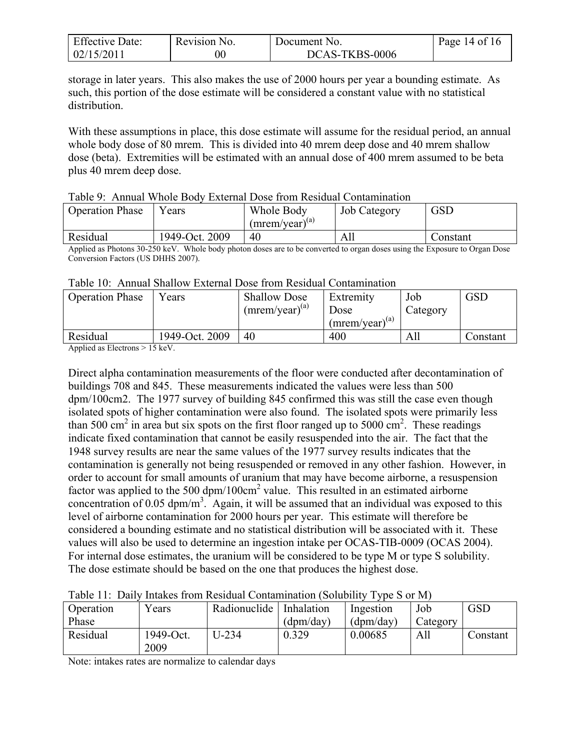| <b>Effective Date:</b> | Revision No. | Document No.   | Page 14 of 16 |
|------------------------|--------------|----------------|---------------|
| 02/15/2011             |              | DCAS-TKBS-0006 |               |

storage in later years. This also makes the use of 2000 hours per year a bounding estimate. As such, this portion of the dose estimate will be considered a constant value with no statistical distribution.

With these assumptions in place, this dose estimate will assume for the residual period, an annual whole body dose of 80 mrem. This is divided into 40 mrem deep dose and 40 mrem shallow dose (beta). Extremities will be estimated with an annual dose of 400 mrem assumed to be beta plus 40 mrem deep dose.

| <b>Operation Phase</b> | ears           | Whole Body<br>$(mrem/year)^{(a)}$ | <b>Job Category</b> | GSD      |  |
|------------------------|----------------|-----------------------------------|---------------------|----------|--|
| Residual               | 1949-Oct. 2009 | 40                                | All                 | Constant |  |

#### Table 9: Annual Whole Body External Dose from Residual Contamination

Applied as Photons 30-250 keV. Whole body photon doses are to be converted to organ doses using the Exposure to Organ Dose Conversion Factors (US DHHS 2007).

| Table 10: Annual Shallow External Dose from Residual Contamination |  |
|--------------------------------------------------------------------|--|
|--------------------------------------------------------------------|--|

| <b>Operation Phase</b> | Years          | <b>Shallow Dose</b><br>$(mrem/year)^{(a)}$ | Extremity<br>Dose<br>$(mrem/year)^{(a)}$ | Job<br>Category | <b>GSD</b> |
|------------------------|----------------|--------------------------------------------|------------------------------------------|-----------------|------------|
| Residual               | 1949-Oct. 2009 | 40                                         | 400                                      | All             | Constant   |

Applied as Electrons > 15 keV.

Direct alpha contamination measurements of the floor were conducted after decontamination of buildings 708 and 845. These measurements indicated the values were less than 500 dpm/100cm2. The 1977 survey of building 845 confirmed this was still the case even though isolated spots of higher contamination were also found. The isolated spots were primarily less than 500 cm<sup>2</sup> in area but six spots on the first floor ranged up to 5000 cm<sup>2</sup>. These readings indicate fixed contamination that cannot be easily resuspended into the air. The fact that the 1948 survey results are near the same values of the 1977 survey results indicates that the contamination is generally not being resuspended or removed in any other fashion. However, in order to account for small amounts of uranium that may have become airborne, a resuspension factor was applied to the 500  $dpm/100 \text{cm}^2$  value. This resulted in an estimated airborne concentration of 0.05 dpm/m<sup>3</sup>. Again, it will be assumed that an individual was exposed to this level of airborne contamination for 2000 hours per year. This estimate will therefore be considered a bounding estimate and no statistical distribution will be associated with it. These values will also be used to determine an ingestion intake per OCAS-TIB-0009 (OCAS 2004). For internal dose estimates, the uranium will be considered to be type M or type S solubility. The dose estimate should be based on the one that produces the highest dose.

| $v_{\text{ears}}$ | Radionuclide | Inhalation | Ingestion | Job      | GSD      |
|-------------------|--------------|------------|-----------|----------|----------|
|                   |              | (dpm/day)  | (dpm/day) | Category |          |
| 1949-Oct.<br>2009 | $U-234$      | 0.329      | 0.00685   | All      | Constant |
|                   |              |            |           |          |          |

Table 11: Daily Intakes from Residual Contamination (Solubility Type S or M)

Note: intakes rates are normalize to calendar days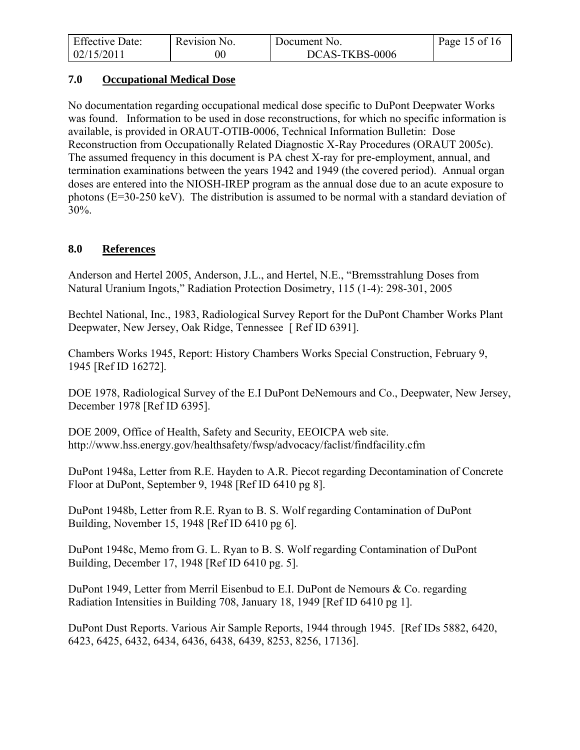| <b>Effective Date:</b> | Revision No. | Document No.   | Page 15 of 16 |
|------------------------|--------------|----------------|---------------|
| 02/15/2011             | $00\,$       | DCAS-TKBS-0006 |               |

#### <span id="page-14-0"></span>**7.0 Occupational Medical Dose**

No documentation regarding occupational medical dose specific to DuPont Deepwater Works was found. Information to be used in dose reconstructions, for which no specific information is available, is provided in ORAUT-OTIB-0006, Technical Information Bulletin: Dose Reconstruction from Occupationally Related Diagnostic X-Ray Procedures (ORAUT 2005c). The assumed frequency in this document is PA chest X-ray for pre-employment, annual, and termination examinations between the years 1942 and 1949 (the covered period). Annual organ doses are entered into the NIOSH-IREP program as the annual dose due to an acute exposure to photons (E=30-250 keV). The distribution is assumed to be normal with a standard deviation of 30%.

#### <span id="page-14-1"></span>**8.0 References**

Anderson and Hertel 2005, Anderson, J.L., and Hertel, N.E., "Bremsstrahlung Doses from Natural Uranium Ingots," Radiation Protection Dosimetry, 115 (1-4): 298-301, 2005

Bechtel National, Inc., 1983, Radiological Survey Report for the DuPont Chamber Works Plant Deepwater, New Jersey, Oak Ridge, Tennessee [ Ref ID 6391].

Chambers Works 1945, Report: History Chambers Works Special Construction, February 9, 1945 [Ref ID 16272].

DOE 1978, Radiological Survey of the E.I DuPont DeNemours and Co., Deepwater, New Jersey, December 1978 [Ref ID 6395].

DOE 2009, Office of Health, Safety and Security, EEOICPA web site. http://www.hss.energy.gov/healthsafety/fwsp/advocacy/faclist/findfacility.cfm

DuPont 1948a, Letter from R.E. Hayden to A.R. Piecot regarding Decontamination of Concrete Floor at DuPont, September 9, 1948 [Ref ID 6410 pg 8].

DuPont 1948b, Letter from R.E. Ryan to B. S. Wolf regarding Contamination of DuPont Building, November 15, 1948 [Ref ID 6410 pg 6].

DuPont 1948c, Memo from G. L. Ryan to B. S. Wolf regarding Contamination of DuPont Building, December 17, 1948 [Ref ID 6410 pg. 5].

DuPont 1949, Letter from Merril Eisenbud to E.I. DuPont de Nemours & Co. regarding Radiation Intensities in Building 708, January 18, 1949 [Ref ID 6410 pg 1].

DuPont Dust Reports. Various Air Sample Reports, 1944 through 1945. [Ref IDs 5882, 6420, 6423, 6425, 6432, 6434, 6436, 6438, 6439, 8253, 8256, 17136].